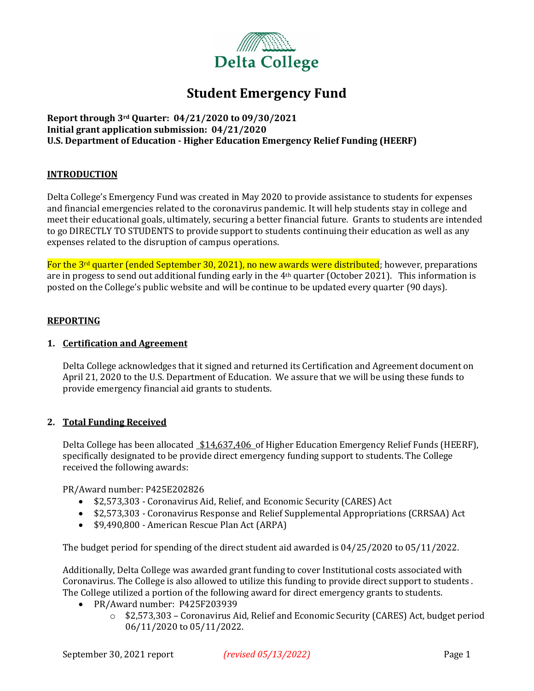

# **Student Emergency Fund**

**Report through 3rd Quarter: 04/21/2020 to 09/30/2021 Initial grant application submission: 04/21/2020 U.S. Department of Education - Higher Education Emergency Relief Funding (HEERF)**

## **INTRODUCTION**

Delta College's Emergency Fund was created in May 2020 to provide assistance to students for expenses and financial emergencies related to the coronavirus pandemic. It will help students stay in college and meet their educational goals, ultimately, securing a better financial future. Grants to students are intended to go DIRECTLY TO STUDENTS to provide support to students continuing their education as well as any expenses related to the disruption of campus operations.

For the 3<sup>rd</sup> quarter (ended September 30, 2021), no new awards were distributed; however, preparations are in progess to send out additional funding early in the  $4<sup>th</sup>$  quarter (October 2021). This information is posted on the College's public website and will be continue to be updated every quarter (90 days).

#### **REPORTING**

### **1. Certification and Agreement**

Delta College acknowledges that it signed and returned its Certification and Agreement document on April 21, 2020 to the U.S. Department of Education. We assure that we will be using these funds to provide emergency financial aid grants to students.

## **2. Total Funding Received**

Delta College has been allocated \$14,637,406 of Higher Education Emergency Relief Funds (HEERF), specifically designated to be provide direct emergency funding support to students. The College received the following awards:

PR/Award number: P425E202826

- \$2,573,303 Coronavirus Aid, Relief, and Economic Security (CARES) Act
- \$2,573,303 Coronavirus Response and Relief Supplemental Appropriations (CRRSAA) Act
- \$9,490,800 American Rescue Plan Act (ARPA)

The budget period for spending of the direct student aid awarded is 04/25/2020 to 05/11/2022.

Additionally, Delta College was awarded grant funding to cover Institutional costs associated with Coronavirus. The College is also allowed to utilize this funding to provide direct support to students . The College utilized a portion of the following award for direct emergency grants to students.

- PR/Award number: P425F203939
	- o \$2,573,303 Coronavirus Aid, Relief and Economic Security (CARES) Act, budget period 06/11/2020 to 05/11/2022.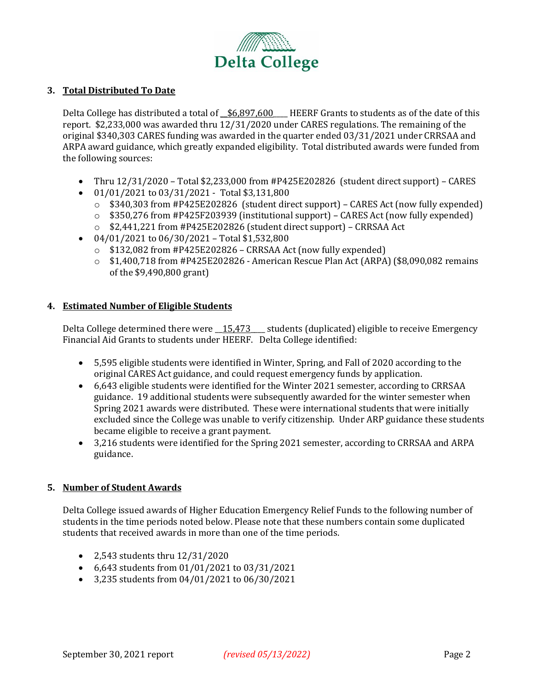

# **3. Total Distributed To Date**

Delta College has distributed a total of  $$6,897,600$  HEERF Grants to students as of the date of this report. \$2,233,000 was awarded thru 12/31/2020 under CARES regulations. The remaining of the original \$340,303 CARES funding was awarded in the quarter ended 03/31/2021 under CRRSAA and ARPA award guidance, which greatly expanded eligibility. Total distributed awards were funded from the following sources:

- Thru 12/31/2020 Total \$2,233,000 from #P425E202826 (student direct support) CARES
- $\bullet$  01/01/2021 to 03/31/2021 Total \$3,131,800
	- $\circ$  \$340,303 from #P425E202826 (student direct support) CARES Act (now fully expended)
	- o \$350,276 from #P425F203939 (institutional support) CARES Act (now fully expended)
	- o \$2,441,221 from #P425E202826 (student direct support) CRRSAA Act
- $\bullet$  04/01/2021 to 06/30/2021 Total \$1,532,800
	- $\circ$  \$132,082 from #P425E202826 CRRSAA Act (now fully expended)
	- o \$1,400,718 from #P425E202826 American Rescue Plan Act (ARPA) (\$8,090,082 remains of the \$9,490,800 grant)

## **4. Estimated Number of Eligible Students**

Delta College determined there were 15,473 students (duplicated) eligible to receive Emergency Financial Aid Grants to students under HEERF. Delta College identified:

- 5,595 eligible students were identified in Winter, Spring, and Fall of 2020 according to the original CARES Act guidance, and could request emergency funds by application.
- 6,643 eligible students were identified for the Winter 2021 semester, according to CRRSAA guidance. 19 additional students were subsequently awarded for the winter semester when Spring 2021 awards were distributed. These were international students that were initially excluded since the College was unable to verify citizenship. Under ARP guidance these students became eligible to receive a grant payment.
- 3,216 students were identified for the Spring 2021 semester, according to CRRSAA and ARPA guidance.

## **5. Number of Student Awards**

Delta College issued awards of Higher Education Emergency Relief Funds to the following number of students in the time periods noted below. Please note that these numbers contain some duplicated students that received awards in more than one of the time periods.

- 2,543 students thru 12/31/2020
- 6,643 students from 01/01/2021 to 03/31/2021
- 3,235 students from 04/01/2021 to 06/30/2021